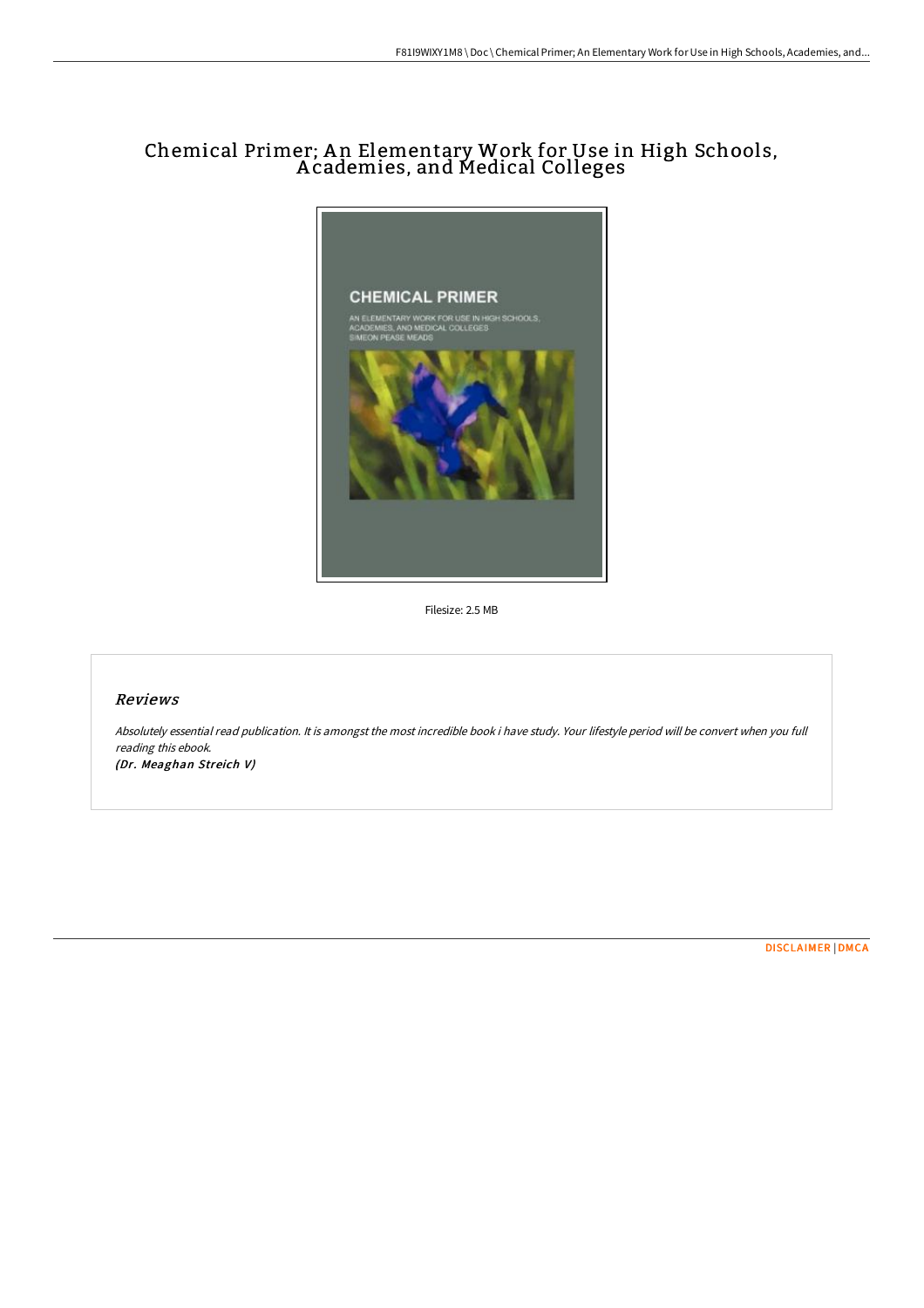# Chemical Primer; A n Elementary Work for Use in High Schools, A cademies, and Medical Colleges



Filesize: 2.5 MB

## Reviews

Absolutely essential read publication. It is amongst the most incredible book i have study. Your lifestyle period will be convert when you full reading this ebook. (Dr. Meaghan Streich V)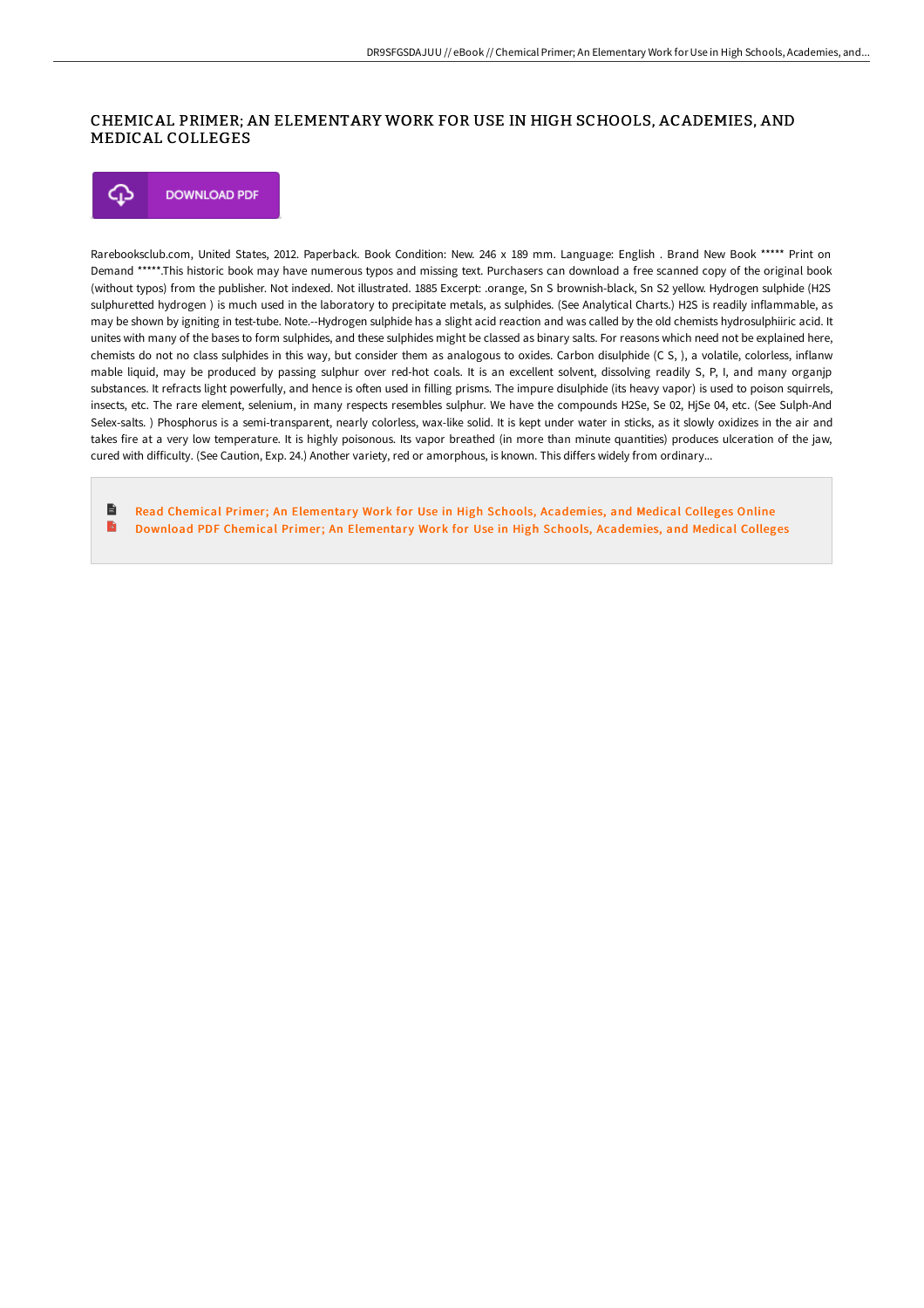#### CHEMICAL PRIMER; AN ELEMENTARY WORK FOR USE IN HIGH SCHOOLS, ACADEMIES, AND MEDICAL COLLEGES

⊕ **DOWNLOAD PDF** 

Rarebooksclub.com, United States, 2012. Paperback. Book Condition: New. 246 x 189 mm. Language: English . Brand New Book \*\*\*\*\* Print on Demand \*\*\*\*\*.This historic book may have numerous typos and missing text. Purchasers can download a free scanned copy of the original book (without typos) from the publisher. Not indexed. Not illustrated. 1885 Excerpt: .orange, Sn S brownish-black, Sn S2 yellow. Hydrogen sulphide (H2S sulphuretted hydrogen ) is much used in the laboratory to precipitate metals, as sulphides. (See Analytical Charts.) H2S is readily inflammable, as may be shown by igniting in test-tube. Note.--Hydrogen sulphide has a slight acid reaction and was called by the old chemists hydrosulphiiric acid. It unites with many of the bases to form sulphides, and these sulphides might be classed as binary salts. For reasons which need not be explained here, chemists do not no class sulphides in this way, but consider them as analogous to oxides. Carbon disulphide (C S, ), a volatile, colorless, inflanw mable liquid, may be produced by passing sulphur over red-hot coals. It is an excellent solvent, dissolving readily S, P, I, and many organjp substances. It refracts light powerfully, and hence is often used in filling prisms. The impure disulphide (its heavy vapor) is used to poison squirrels, insects, etc. The rare element, selenium, in many respects resembles sulphur. We have the compounds H2Se, Se 02, HjSe 04, etc. (See Sulph-And Selex-salts. ) Phosphorus is a semi-transparent, nearly colorless, wax-like solid. It is kept under water in sticks, as it slowly oxidizes in the air and takes fire at a very low temperature. It is highly poisonous. Its vapor breathed (in more than minute quantities) produces ulceration of the jaw, cured with difficulty. (See Caution, Exp. 24.) Another variety, red or amorphous, is known. This differs widely from ordinary...

B Read Chemical Primer; An Elementary Work for Use in High Schools, [Academies,](http://techno-pub.tech/chemical-primer-an-elementary-work-for-use-in-hi.html) and Medical Colleges Online B Download PDF Chemical Primer; An Elementary Work for Use in High Schools, [Academies,](http://techno-pub.tech/chemical-primer-an-elementary-work-for-use-in-hi.html) and Medical Colleges